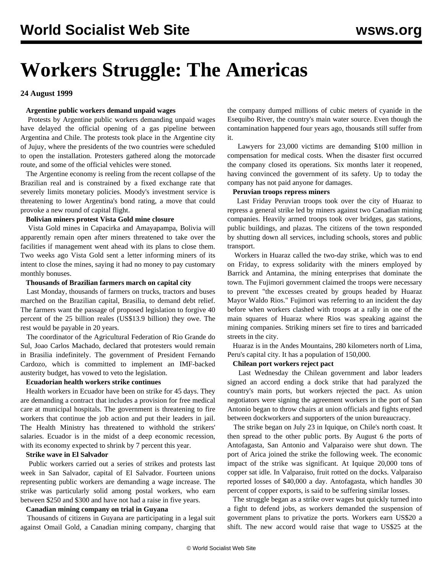# **Workers Struggle: The Americas**

# **24 August 1999**

# **Argentine public workers demand unpaid wages**

 Protests by Argentine public workers demanding unpaid wages have delayed the official opening of a gas pipeline between Argentina and Chile. The protests took place in the Argentine city of Jujuy, where the presidents of the two countries were scheduled to open the installation. Protesters gathered along the motorcade route, and some of the official vehicles were stoned.

 The Argentine economy is reeling from the recent collapse of the Brazilian real and is constrained by a fixed exchange rate that severely limits monetary policies. Moody's investment service is threatening to lower Argentina's bond rating, a move that could provoke a new round of capital flight.

# **Bolivian miners protest Vista Gold mine closure**

 Vista Gold mines in Capacirka and Amayapampa, Bolivia will apparently remain open after miners threatened to take over the facilities if management went ahead with its plans to close them. Two weeks ago Vista Gold sent a letter informing miners of its intent to close the mines, saying it had no money to pay customary monthly bonuses.

#### **Thousands of Brazilian farmers march on capital city**

 Last Monday, thousands of farmers on trucks, tractors and buses marched on the Brazilian capital, Brasilia, to demand debt relief. The farmers want the passage of proposed legislation to forgive 40 percent of the 25 billion reales (US\$13.9 billion) they owe. The rest would be payable in 20 years.

 The coordinator of the Agricultural Federation of Rio Grande do Sul, Joao Carlos Machado, declared that protesters would remain in Brasilia indefinitely. The government of President Fernando Cardozo, which is committed to implement an IMF-backed austerity budget, has vowed to veto the legislation.

# **Ecuadorian health workers strike continues**

 Health workers in Ecuador have been on strike for 45 days. They are demanding a contract that includes a provision for free medical care at municipal hospitals. The government is threatening to fire workers that continue the job action and put their leaders in jail. The Health Ministry has threatened to withhold the strikers' salaries. Ecuador is in the midst of a deep economic recession, with its economy expected to shrink by 7 percent this year.

# **Strike wave in El Salvador**

 Public workers carried out a series of strikes and protests last week in San Salvador, capital of El Salvador. Fourteen unions representing public workers are demanding a wage increase. The strike was particularly solid among postal workers, who earn between \$250 and \$300 and have not had a raise in five years.

# **Canadian mining company on trial in Guyana**

 Thousands of citizens in Guyana are participating in a legal suit against Omail Gold, a Canadian mining company, charging that

the company dumped millions of cubic meters of cyanide in the Esequibo River, the country's main water source. Even though the contamination happened four years ago, thousands still suffer from it.

 Lawyers for 23,000 victims are demanding \$100 million in compensation for medical costs. When the disaster first occurred the company closed its operations. Six months later it reopened, having convinced the government of its safety. Up to today the company has not paid anyone for damages.

#### **Peruvian troops repress miners**

 Last Friday Peruvian troops took over the city of Huaraz to repress a general strike led by miners against two Canadian mining companies. Heavily armed troops took over bridges, gas stations, public buildings, and plazas. The citizens of the town responded by shutting down all services, including schools, stores and public transport.

 Workers in Huaraz called the two-day strike, which was to end on Friday, to express solidarity with the miners employed by Barrick and Antamina, the mining enterprises that dominate the town. The Fujimori government claimed the troops were necessary to prevent "the excesses created by groups headed by Huaraz Mayor Waldo Rios." Fujimori was referring to an incident the day before when workers clashed with troops at a rally in one of the main squares of Huaraz where Rios was speaking against the mining companies. Striking miners set fire to tires and barricaded streets in the city.

 Huaraz is in the Andes Mountains, 280 kilometers north of Lima, Peru's capital city. It has a population of 150,000.

# **Chilean port workers reject pact**

 Last Wednesday the Chilean government and labor leaders signed an accord ending a dock strike that had paralyzed the country's main ports, but workers rejected the pact. As union negotiators were signing the agreement workers in the port of San Antonio began to throw chairs at union officials and fights erupted between dockworkers and supporters of the union bureaucracy.

 The strike began on July 23 in Iquique, on Chile's north coast. It then spread to the other public ports. By August 6 the ports of Antofagasta, San Antonio and Valparaiso were shut down. The port of Arica joined the strike the following week. The economic impact of the strike was significant. At Iquique 20,000 tons of copper sat idle. In Valparaiso, fruit rotted on the docks. Valparaiso reported losses of \$40,000 a day. Antofagasta, which handles 30 percent of copper exports, is said to be suffering similar losses.

 The struggle began as a strike over wages but quickly turned into a fight to defend jobs, as workers demanded the suspension of government plans to privatize the ports. Workers earn US\$20 a shift. The new accord would raise that wage to US\$25 at the